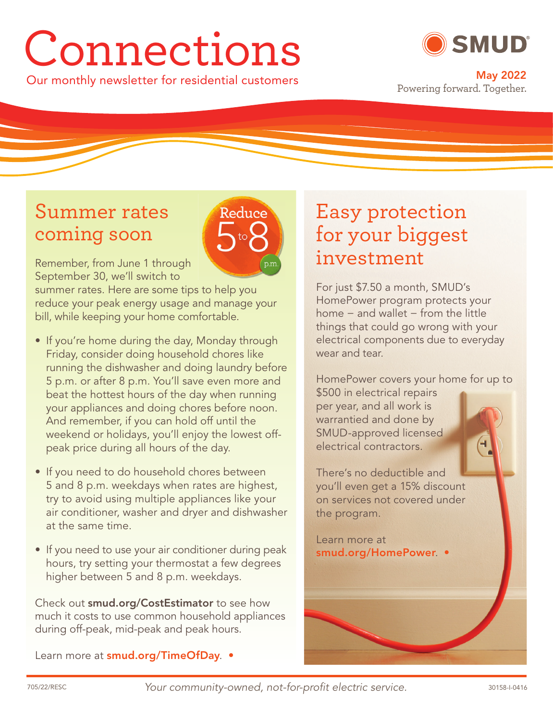# Connections

Our monthly newsletter for residential customers **May 2022**



Powering forward. Together.

## Summer rates coming soon



Remember, from June 1 through September 30, we'll switch to

summer rates. Here are some tips to help you reduce your peak energy usage and manage your bill, while keeping your home comfortable.

- If you're home during the day, Monday through Friday, consider doing household chores like running the dishwasher and doing laundry before 5 p.m. or after 8 p.m. You'll save even more and beat the hottest hours of the day when running your appliances and doing chores before noon. And remember, if you can hold off until the weekend or holidays, you'll enjoy the lowest offpeak price during all hours of the day.
- If you need to do household chores between 5 and 8 p.m. weekdays when rates are highest, try to avoid using multiple appliances like your air conditioner, washer and dryer and dishwasher at the same time.
- If you need to use your air conditioner during peak hours, try setting your thermostat a few degrees higher between 5 and 8 p.m. weekdays.

Check out **smud.org/CostEstimator** to see how much it costs to use common household appliances during off-peak, mid-peak and peak hours.

Learn more at **smud.org/TimeOfDay**. •

# Easy protection for your biggest investment

For just \$7.50 a month, SMUD's HomePower program protects your home − and wallet − from the little things that could go wrong with your electrical components due to everyday wear and tear

HomePower covers your home for up to \$500 in electrical repairs per year, and all work is warrantied and done by SMUD-approved licensed

There's no deductible and you'll even get a 15% discount on services not covered under the program.

Learn more at **smud.org/HomePower**. •

electrical contractors.